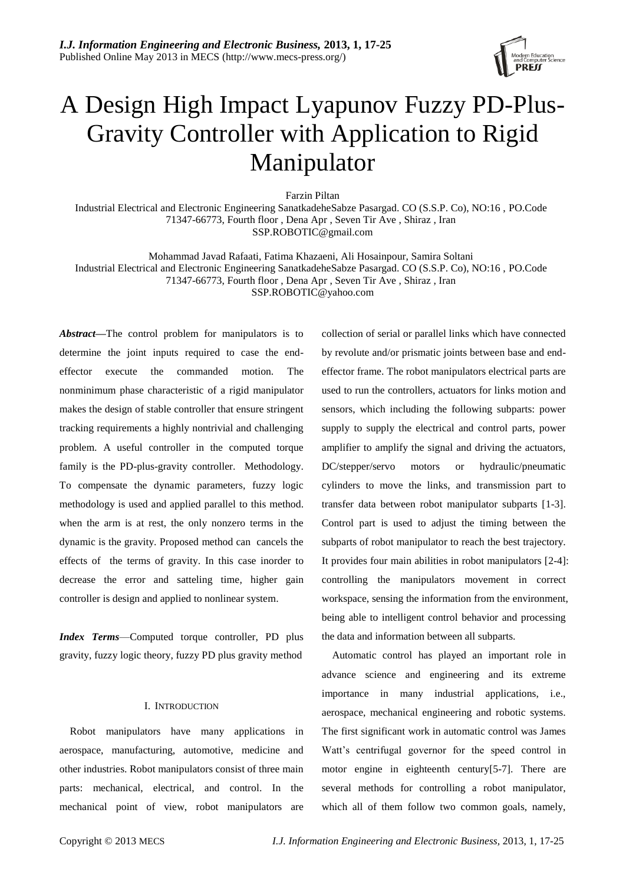

# A Design High Impact Lyapunov Fuzzy PD-Plus-Gravity Controller with Application to Rigid Manipulator

Farzin Piltan

Industrial Electrical and Electronic Engineering SanatkadeheSabze Pasargad. CO (S.S.P. Co), NO:16 , PO.Code 71347-66773, Fourth floor , Dena Apr , Seven Tir Ave , Shiraz , Iran SSP.ROBOTIC@gmail.com

Mohammad Javad Rafaati, Fatima Khazaeni, Ali Hosainpour, Samira Soltani Industrial Electrical and Electronic Engineering SanatkadeheSabze Pasargad. CO (S.S.P. Co), NO:16 , PO.Code 71347-66773, Fourth floor , Dena Apr , Seven Tir Ave , Shiraz , Iran

[SSP.ROBOTIC@yahoo.com](mailto:SSP.ROBOTIC@yahoo.com)

*Abstract—*The control problem for manipulators is to determine the joint inputs required to case the endeffector execute the commanded motion. The nonminimum phase characteristic of a rigid manipulator makes the design of stable controller that ensure stringent tracking requirements a highly nontrivial and challenging problem. A useful controller in the computed torque family is the PD-plus-gravity controller. Methodology. To compensate the dynamic parameters, fuzzy logic methodology is used and applied parallel to this method. when the arm is at rest, the only nonzero terms in the dynamic is the gravity. Proposed method can cancels the effects of the terms of gravity. In this case inorder to decrease the error and satteling time, higher gain controller is design and applied to nonlinear system.

*Index Terms*—Computed torque controller, PD plus gravity, fuzzy logic theory, fuzzy PD plus gravity method

# I. INTRODUCTION

Robot manipulators have many applications in aerospace, manufacturing, automotive, medicine and other industries. Robot manipulators consist of three main parts: mechanical, electrical, and control. In the mechanical point of view, robot manipulators are

collection of serial or parallel links which have connected by revolute and/or prismatic joints between base and endeffector frame. The robot manipulators electrical parts are used to run the controllers, actuators for links motion and sensors, which including the following subparts: power supply to supply the electrical and control parts, power amplifier to amplify the signal and driving the actuators, DC/stepper/servo motors or hydraulic/pneumatic cylinders to move the links, and transmission part to transfer data between robot manipulator subparts [1-3]. Control part is used to adjust the timing between the subparts of robot manipulator to reach the best trajectory. It provides four main abilities in robot manipulators [2-4]: controlling the manipulators movement in correct workspace, sensing the information from the environment, being able to intelligent control behavior and processing the data and information between all subparts.

Automatic control has played an important role in advance science and engineering and its extreme importance in many industrial applications, i.e., aerospace, mechanical engineering and robotic systems. The first significant work in automatic control was James Watt's centrifugal governor for the speed control in motor engine in eighteenth century[5-7]. There are several methods for controlling a robot manipulator, which all of them follow two common goals, namely,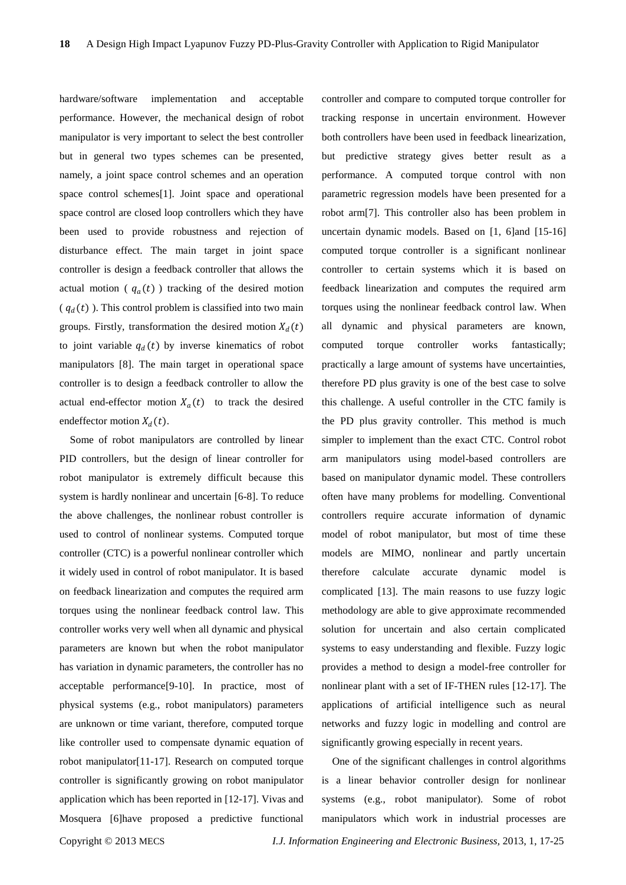hardware/software implementation and acceptable performance. However, the mechanical design of robot manipulator is very important to select the best controller but in general two types schemes can be presented, namely, a joint space control schemes and an operation space control schemes[1]. Joint space and operational space control are closed loop controllers which they have been used to provide robustness and rejection of disturbance effect. The main target in joint space controller is design a feedback controller that allows the actual motion ( $q_a(t)$ ) tracking of the desired motion ( $q_d(t)$ ). This control problem is classified into two main groups. Firstly, transformation the desired motion  $X_d(t)$ to joint variable  $q_d(t)$  by inverse kinematics of robot manipulators [8]. The main target in operational space controller is to design a feedback controller to allow the actual end-effector motion  $X_a(t)$  to track the desired endeffector motion  $X_d(t)$ .

Some of robot manipulators are controlled by linear PID controllers, but the design of linear controller for robot manipulator is extremely difficult because this system is hardly nonlinear and uncertain [6-8]. To reduce the above challenges, the nonlinear robust controller is used to control of nonlinear systems. Computed torque controller (CTC) is a powerful nonlinear controller which it widely used in control of robot manipulator. It is based on feedback linearization and computes the required arm torques using the nonlinear feedback control law. This controller works very well when all dynamic and physical parameters are known but when the robot manipulator has variation in dynamic parameters, the controller has no acceptable performance[9-10]. In practice, most of physical systems (e.g., robot manipulators) parameters are unknown or time variant, therefore, computed torque like controller used to compensate dynamic equation of robot manipulator[11-17]. Research on computed torque controller is significantly growing on robot manipulator application which has been reported in [12-17]. Vivas and Mosquera [6]have proposed a predictive functional

controller and compare to computed torque controller for tracking response in uncertain environment. However both controllers have been used in feedback linearization, but predictive strategy gives better result as a performance. A computed torque control with non parametric regression models have been presented for a robot arm[7]. This controller also has been problem in uncertain dynamic models. Based on [1, 6]and [15-16] computed torque controller is a significant nonlinear controller to certain systems which it is based on feedback linearization and computes the required arm torques using the nonlinear feedback control law. When all dynamic and physical parameters are known, computed torque controller works fantastically; practically a large amount of systems have uncertainties, therefore PD plus gravity is one of the best case to solve this challenge. A useful controller in the CTC family is the PD plus gravity controller. This method is much simpler to implement than the exact CTC. Control robot arm manipulators using model-based controllers are based on manipulator dynamic model. These controllers often have many problems for modelling. Conventional controllers require accurate information of dynamic model of robot manipulator, but most of time these models are MIMO, nonlinear and partly uncertain therefore calculate accurate dynamic model is complicated [13]. The main reasons to use fuzzy logic methodology are able to give approximate recommended solution for uncertain and also certain complicated systems to easy understanding and flexible. Fuzzy logic provides a method to design a model-free controller for nonlinear plant with a set of IF-THEN rules [12-17]. The applications of artificial intelligence such as neural networks and fuzzy logic in modelling and control are significantly growing especially in recent years.

One of the significant challenges in control algorithms is a linear behavior controller design for nonlinear systems (e.g., robot manipulator). Some of robot manipulators which work in industrial processes are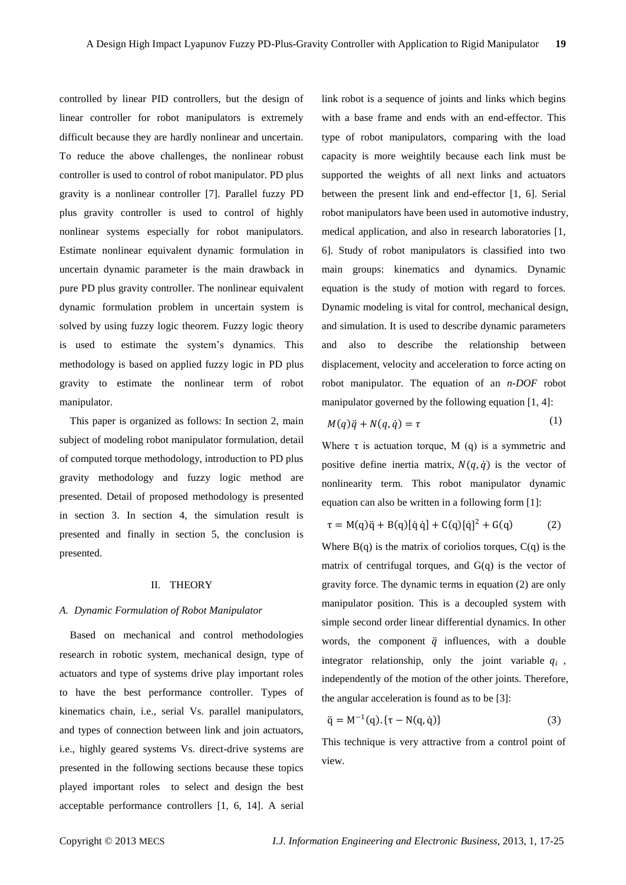controlled by linear PID controllers, but the design of linear controller for robot manipulators is extremely difficult because they are hardly nonlinear and uncertain. To reduce the above challenges, the nonlinear robust controller is used to control of robot manipulator. PD plus gravity is a nonlinear controller [7]. Parallel fuzzy PD plus gravity controller is used to control of highly nonlinear systems especially for robot manipulators. Estimate nonlinear equivalent dynamic formulation in uncertain dynamic parameter is the main drawback in pure PD plus gravity controller. The nonlinear equivalent dynamic formulation problem in uncertain system is solved by using fuzzy logic theorem. Fuzzy logic theory is used to estimate the system's dynamics. This methodology is based on applied fuzzy logic in PD plus gravity to estimate the nonlinear term of robot manipulator.

This paper is organized as follows: In section 2, main subject of modeling robot manipulator formulation, detail of computed torque methodology, introduction to PD plus gravity methodology and fuzzy logic method are presented. Detail of proposed methodology is presented in section 3. In section 4, the simulation result is presented and finally in section 5, the conclusion is presented.

# II. THEORY

## *A. Dynamic Formulation of Robot Manipulator*

Based on mechanical and control methodologies research in robotic system, mechanical design, type of actuators and type of systems drive play important roles to have the best performance controller. Types of kinematics chain, i.e., serial Vs. parallel manipulators, and types of connection between link and join actuators, i.e., highly geared systems Vs. direct-drive systems are presented in the following sections because these topics played important roles to select and design the best acceptable performance controllers [1, 6, 14]. A serial

link robot is a sequence of joints and links which begins with a base frame and ends with an end-effector. This type of robot manipulators, comparing with the load capacity is more weightily because each link must be supported the weights of all next links and actuators between the present link and end-effector [1, 6]. Serial robot manipulators have been used in automotive industry, medical application, and also in research laboratories [1, 6]. Study of robot manipulators is classified into two main groups: kinematics and dynamics. Dynamic equation is the study of motion with regard to forces. Dynamic modeling is vital for control, mechanical design, and simulation. It is used to describe dynamic parameters and also to describe the relationship between displacement, velocity and acceleration to force acting on robot manipulator. The equation of an *n-DOF* robot manipulator governed by the following equation [1, 4]:

$$
M(q)\ddot{q} + N(q,\dot{q}) = \tau \tag{1}
$$

Where  $\tau$  is actuation torque, M (q) is a symmetric and positive define inertia matrix,  $N(q, \dot{q})$  is the vector of nonlinearity term. This robot manipulator dynamic equation can also be written in a following form [1]:

$$
\tau = M(q)\ddot{q} + B(q)[\dot{q}\dot{q}] + C(q)[\dot{q}]^{2} + G(q)
$$
 (2)

Where  $B(q)$  is the matrix of coriolios torques,  $C(q)$  is the matrix of centrifugal torques, and  $G(q)$  is the vector of gravity force. The dynamic terms in equation (2) are only manipulator position. This is a decoupled system with simple second order linear differential dynamics. In other words, the component  $\ddot{q}$  influences, with a double integrator relationship, only the joint variable  $q_i$ , independently of the motion of the other joints. Therefore, the angular acceleration is found as to be [3]:

$$
\ddot{q} = M^{-1}(q) \cdot {\tau - N(q, \dot{q})}
$$
 (3)

This technique is very attractive from a control point of view.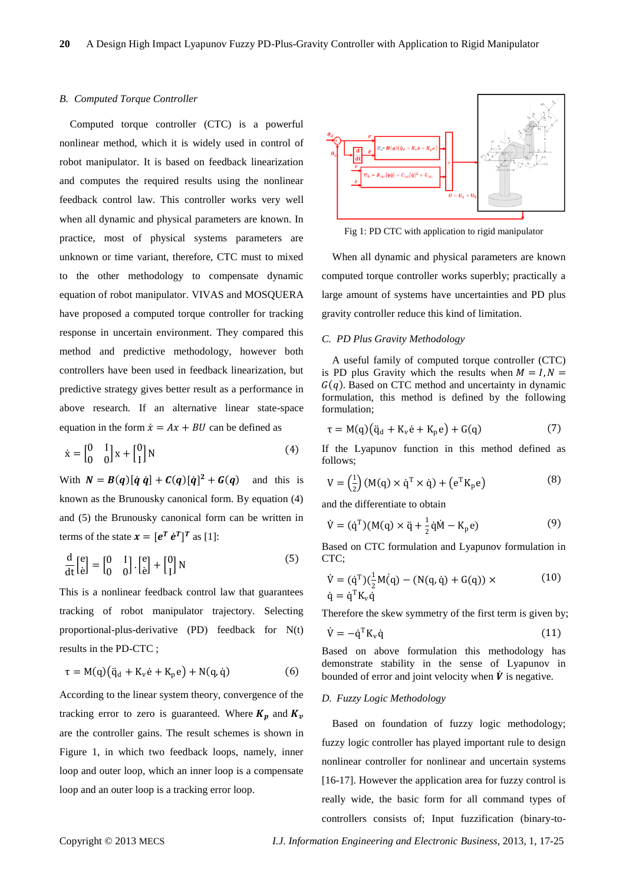#### *B. Computed Torque Controller*

Computed torque controller (CTC) is a powerful nonlinear method, which it is widely used in control of robot manipulator. It is based on feedback linearization and computes the required results using the nonlinear feedback control law. This controller works very well when all dynamic and physical parameters are known. In practice, most of physical systems parameters are unknown or time variant, therefore, CTC must to mixed to the other methodology to compensate dynamic equation of robot manipulator. VIVAS and MOSQUERA have proposed a computed torque controller for tracking response in uncertain environment. They compared this method and predictive methodology, however both controllers have been used in feedback linearization, but predictive strategy gives better result as a performance in above research. If an alternative linear state-space equation in the form  $\dot{x} = Ax + BU$  can be defined as

$$
\dot{\mathbf{x}} = \begin{bmatrix} 0 & 1 \\ 0 & 0 \end{bmatrix} \mathbf{x} + \begin{bmatrix} 0 \\ 1 \end{bmatrix} \mathbf{N} \tag{4}
$$

With  $N = B(q)[\dot{q} \dot{q}] + C(q)[\dot{q}]^2 + G(q)$  and this is known as the Brunousky canonical form. By equation (4) and (5) the Brunousky canonical form can be written in terms of the state  $\mathbf{x} = [\mathbf{e}^T \ \dot{\mathbf{e}}^T]^T$  as [1]:

$$
\frac{d}{dt} \begin{bmatrix} e \\ \dot{e} \end{bmatrix} = \begin{bmatrix} 0 & I \\ 0 & 0 \end{bmatrix} \cdot \begin{bmatrix} e \\ \dot{e} \end{bmatrix} + \begin{bmatrix} 0 \\ I \end{bmatrix} N \tag{5}
$$

This is a nonlinear feedback control law that guarantees tracking of robot manipulator trajectory. Selecting proportional-plus-derivative (PD) feedback for N(t) results in the PD-CTC ;

$$
\tau = M(q)(\ddot{q}_d + K_v \dot{e} + K_p e) + N(q, \dot{q})
$$
\n(6)

According to the linear system theory, convergence of the tracking error to zero is guaranteed. Where  $K_n$  and  $K_v$ are the controller gains. The result schemes is shown in Figure 1, in which two feedback loops, namely, inner loop and outer loop, which an inner loop is a compensate loop and an outer loop is a tracking error loop.



Fig 1: PD CTC with application to rigid manipulator

When all dynamic and physical parameters are known computed torque controller works superbly; practically a large amount of systems have uncertainties and PD plus gravity controller reduce this kind of limitation.

## *C. PD Plus Gravity Methodology*

A useful family of computed torque controller (CTC) is PD plus Gravity which the results when  $M = I, N =$  $G(q)$ . Based on CTC method and uncertainty in dynamic formulation, this method is defined by the following formulation;

$$
\tau = M(q)(\ddot{q}_d + K_v \dot{e} + K_p e) + G(q)
$$
 (7)

If the Lyapunov function in this method defined as follows;

$$
V = \left(\frac{1}{2}\right) \left(M(q) \times \dot{q}^T \times \dot{q}\right) + \left(e^T K_p e\right) \tag{8}
$$

and the differentiate to obtain

$$
\dot{V} = (\dot{q}^{T})(M(q) \times \ddot{q} + \frac{1}{2}\dot{q}\dot{M} - K_{p}e)
$$
\n(9)

Based on CTC formulation and Lyapunov formulation in CTC;

$$
\dot{V} = (\dot{q}^{T})(\frac{1}{2}M(\dot{q}) - (N(q, \dot{q}) + G(q)) \times \dot{q} = \dot{q}^{T}K_{v}\dot{q}
$$
\n(10)

Therefore the skew symmetry of the first term is given by;

$$
\dot{V} = -\dot{q}^{T} K_{v} \dot{q}
$$
 (11)

Based on above formulation this methodology has demonstrate stability in the sense of Lyapunov in bounded of error and joint velocity when  $\dot{V}$  is negative.

## *D. Fuzzy Logic Methodology*

Based on foundation of fuzzy logic methodology; fuzzy logic controller has played important rule to design nonlinear controller for nonlinear and uncertain systems [16-17]. However the application area for fuzzy control is really wide, the basic form for all command types of controllers consists of; Input fuzzification (binary-to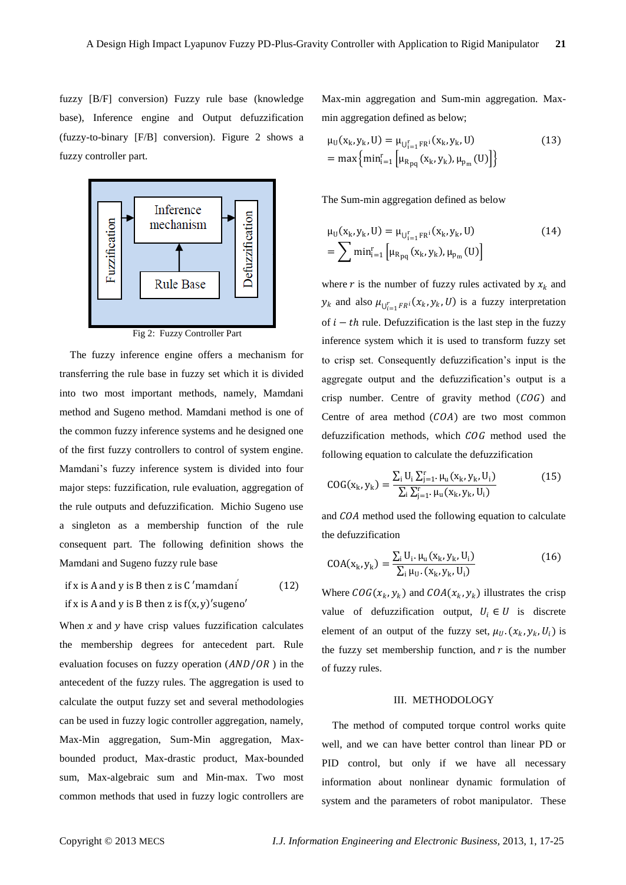fuzzy [B/F] conversion) Fuzzy rule base (knowledge base), Inference engine and Output defuzzification (fuzzy-to-binary [F/B] conversion). Figure 2 shows a fuzzy controller part.



Fig 2: Fuzzy Controller Part

The fuzzy inference engine offers a mechanism for transferring the rule base in fuzzy set which it is divided into two most important methods, namely, Mamdani method and Sugeno method. Mamdani method is one of the common fuzzy inference systems and he designed one of the first fuzzy controllers to control of system engine. Mamdani's fuzzy inference system is divided into four major steps: fuzzification, rule evaluation, aggregation of the rule outputs and defuzzification. Michio Sugeno use a singleton as a membership function of the rule consequent part. The following definition shows the Mamdani and Sugeno fuzzy rule base

if x is A and y is B then z is C'mamdani' 
$$
(12)
$$
 if x is A and y is B then z is  $f(x, y)'$  *subgeno'*

When  $x$  and  $y$  have crisp values fuzzification calculates the membership degrees for antecedent part. Rule evaluation focuses on fuzzy operation  $(AND/OR)$  in the antecedent of the fuzzy rules. The aggregation is used to calculate the output fuzzy set and several methodologies can be used in fuzzy logic controller aggregation, namely, Max-Min aggregation, Sum-Min aggregation, Maxbounded product, Max-drastic product, Max-bounded sum, Max-algebraic sum and Min-max. Two most common methods that used in fuzzy logic controllers are

Max-min aggregation and Sum-min aggregation. Maxmin aggregation defined as below;

$$
\mu_{U}(x_{k}, y_{k}, U) = \mu_{U_{i=1}^{r} F R^{i}}(x_{k}, y_{k}, U)
$$
\n
$$
= \max \{ \min_{i=1}^{r} \left[ \mu_{R_{pq}}(x_{k}, y_{k}), \mu_{p_{m}}(U) \right] \}
$$
\n(13)

The Sum-min aggregation defined as below

$$
\mu_{U}(x_{k}, y_{k}, U) = \mu_{U_{i=1}^{r} FR^{i}}(x_{k}, y_{k}, U)
$$
\n
$$
= \sum \min_{i=1}^{r} \left[ \mu_{R_{pq}}(x_{k}, y_{k}), \mu_{p_{m}}(U) \right]
$$
\n(14)

where r is the number of fuzzy rules activated by  $x_k$  and  $y_k$  and also  $\mu_{U_{i=1}^rFR^i}(x_k, y_k, U)$  is a fuzzy interpretation of  $i - th$  rule. Defuzzification is the last step in the fuzzy inference system which it is used to transform fuzzy set to crisp set. Consequently defuzzification's input is the aggregate output and the defuzzification's output is a crisp number. Centre of gravity method  $(COG)$  and Centre of area method  $(COA)$  are two most common defuzzification methods, which  $COG$  method used the following equation to calculate the defuzzification

$$
COG(x_k, y_k) = \frac{\sum_{i} U_i \sum_{j=1}^{r} \mu_u(x_k, y_k, U_i)}{\sum_{i} \sum_{j=1}^{r} \mu_u(x_k, y_k, U_i)}
$$
(15)

and  $COA$  method used the following equation to calculate the defuzzification

$$
COA(x_k, y_k) = \frac{\sum_{i} U_i \cdot \mu_u(x_k, y_k, U_i)}{\sum_{i} \mu_{U} \cdot (x_k, y_k, U_i)}
$$
(16)

Where  $COG(x_k, y_k)$  and  $COA(x_k, y_k)$  illustrates the crisp value of defuzzification output,  $U_i \in U$  is discrete element of an output of the fuzzy set,  $\mu_U$ .  $(x_k, y_k, U_i)$  is the fuzzy set membership function, and  $r$  is the number of fuzzy rules.

# III. METHODOLOGY

The method of computed torque control works quite well, and we can have better control than linear PD or PID control, but only if we have all necessary information about nonlinear dynamic formulation of system and the parameters of robot manipulator. These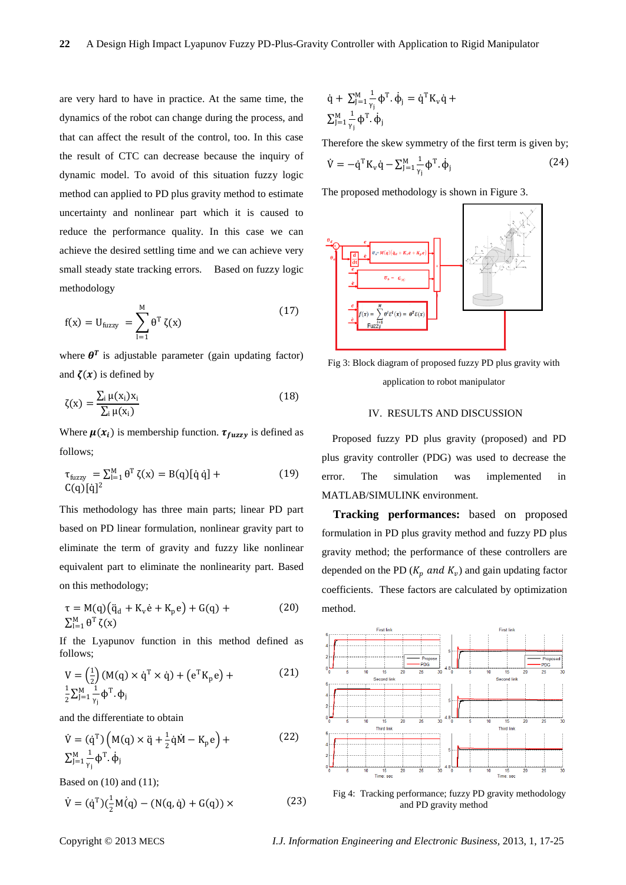are very hard to have in practice. At the same time, the dynamics of the robot can change during the process, and that can affect the result of the control, too. In this case the result of CTC can decrease because the inquiry of dynamic model. To avoid of this situation fuzzy logic method can applied to PD plus gravity method to estimate uncertainty and nonlinear part which it is caused to reduce the performance quality. In this case we can achieve the desired settling time and we can achieve very small steady state tracking errors. Based on fuzzy logic methodology

$$
f(x) = U_{\text{fuzzy}} = \sum_{l=1}^{M} \theta^{T} \zeta(x)
$$
 (17)

where  $\theta^T$  is adjustable parameter (gain updating factor) and  $\zeta(x)$  is defined by

$$
\zeta(x) = \frac{\sum_{i} \mu(x_i) x_i}{\sum_{i} \mu(x_i)}\tag{18}
$$

Where  $\mu(x_i)$  is membership function.  $\tau_{fuzzy}$  is defined as follows;

$$
\tau_{\text{fuzzy}} = \sum_{l=1}^{M} \theta^T \zeta(x) = B(q) [\dot{q} \dot{q}] +
$$
\n
$$
C(q) [\dot{q}]^2
$$
\n(19)

This methodology has three main parts; linear PD part based on PD linear formulation, nonlinear gravity part to eliminate the term of gravity and fuzzy like nonlinear equivalent part to eliminate the nonlinearity part. Based on this methodology;

$$
\tau = M(q)(\ddot{q}_d + K_v \dot{e} + K_p e) + G(q) +
$$
\n
$$
\sum_{i=1}^{M} \theta^T \zeta(x)
$$
\n(20)

If the Lyapunov function in this method defined as follows;

$$
V = \left(\frac{1}{2}\right) (M(q) \times \dot{q}^T \times \dot{q}) + \left(e^T K_p e\right) +
$$
  
\n
$$
\frac{1}{2} \sum_{j=1}^{M} \frac{1}{\gamma_j} \phi^T \cdot \phi_j
$$
\n(21)

and the differentiate to obtain

$$
\dot{V} = (\dot{q}^{T}) \left( M(q) \times \ddot{q} + \frac{1}{2} \dot{q} \dot{M} - K_{p} e \right) +
$$
\n
$$
\sum_{j=1}^{M} \frac{1}{\gamma_{j}} \phi^{T} \cdot \dot{\phi}_{j}
$$
\n(22)

Based on (10) and (11);

$$
\dot{V} = (\dot{q}^{T})(\frac{1}{2}M(\dot{q}) - (N(q, \dot{q}) + G(q)) \times
$$
 (23)

$$
\begin{aligned} \dot{q} + \sum_{j=1}^M \frac{1}{\gamma_j} \varphi^T \cdot \dot{\varphi}_j &= \dot{q}^T K_v \dot{q} + \\ \sum_{j=1}^M \frac{1}{\gamma_j} \varphi^T \cdot \dot{\varphi}_j \end{aligned}
$$

Therefore the skew symmetry of the first term is given by;  $\dot{V} = -\dot{q}^{T} K_{v} \dot{q} - \sum_{j=1}^{M} \frac{1}{v_{j}}$ γj  $J_{J=1}^M \frac{1}{v} \phi^T \cdot \dot{\phi}_j$ (24)

The proposed methodology is shown in Figure 3.



Fig 3: Block diagram of proposed fuzzy PD plus gravity with application to robot manipulator

# IV. RESULTS AND DISCUSSION

Proposed fuzzy PD plus gravity (proposed) and PD plus gravity controller (PDG) was used to decrease the error. The simulation was implemented in MATLAB/SIMULINK environment.

**Tracking performances:** based on proposed formulation in PD plus gravity method and fuzzy PD plus gravity method; the performance of these controllers are depended on the PD  $(K_p \text{ and } K_v)$  and gain updating factor coefficients. These factors are calculated by optimization method.



and PD gravity method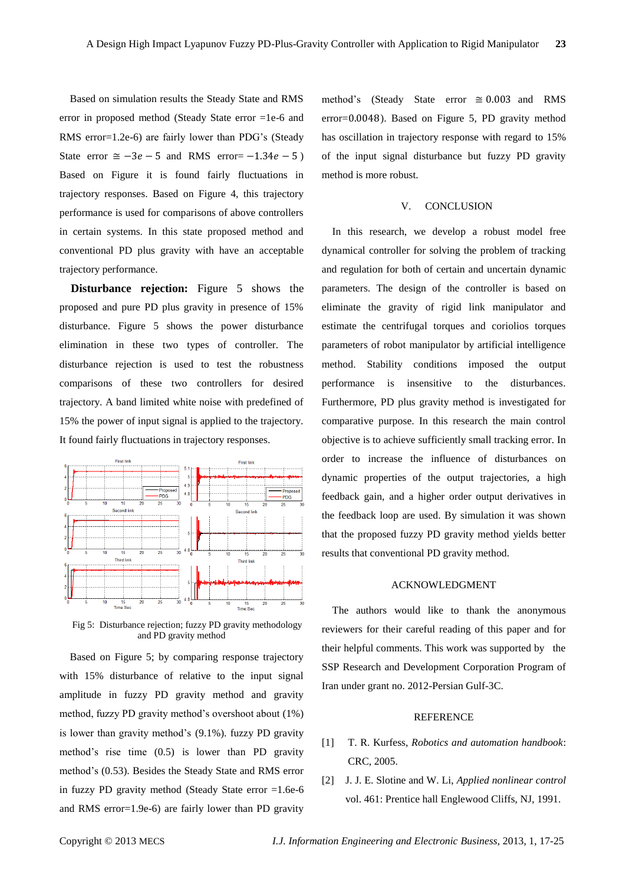Based on simulation results the Steady State and RMS error in proposed method (Steady State error =1e-6 and RMS error=1.2e-6) are fairly lower than PDG's (Steady State error  $\approx -3e - 5$  and RMS error=  $-1.34e - 5$ ) Based on Figure it is found fairly fluctuations in trajectory responses. Based on Figure 4, this trajectory performance is used for comparisons of above controllers in certain systems. In this state proposed method and conventional PD plus gravity with have an acceptable trajectory performance.

**Disturbance rejection:** Figure 5 shows the proposed and pure PD plus gravity in presence of 15% disturbance. Figure 5 shows the power disturbance elimination in these two types of controller. The disturbance rejection is used to test the robustness comparisons of these two controllers for desired trajectory. A band limited white noise with predefined of 15% the power of input signal is applied to the trajectory. It found fairly fluctuations in trajectory responses.



Fig 5: Disturbance rejection; fuzzy PD gravity methodology and PD gravity method

Based on Figure 5; by comparing response trajectory with 15% disturbance of relative to the input signal amplitude in fuzzy PD gravity method and gravity method, fuzzy PD gravity method's overshoot about (1%) is lower than gravity method's (9.1%). fuzzy PD gravity method's rise time (0.5) is lower than PD gravity method's (0.53). Besides the Steady State and RMS error in fuzzy PD gravity method (Steady State error =1.6e-6 and RMS error=1.9e-6) are fairly lower than PD gravity

method's (Steady State error  $\approx 0.003$  and RMS error=0.0048). Based on Figure 5, PD gravity method has oscillation in trajectory response with regard to 15% of the input signal disturbance but fuzzy PD gravity method is more robust.

### V. CONCLUSION

In this research, we develop a robust model free dynamical controller for solving the problem of tracking and regulation for both of certain and uncertain dynamic parameters. The design of the controller is based on eliminate the gravity of rigid link manipulator and estimate the centrifugal torques and coriolios torques parameters of robot manipulator by artificial intelligence method. Stability conditions imposed the output performance is insensitive to the disturbances. Furthermore, PD plus gravity method is investigated for comparative purpose. In this research the main control objective is to achieve sufficiently small tracking error. In order to increase the influence of disturbances on dynamic properties of the output trajectories, a high feedback gain, and a higher order output derivatives in the feedback loop are used. By simulation it was shown that the proposed fuzzy PD gravity method yields better results that conventional PD gravity method.

# ACKNOWLEDGMENT

The authors would like to thank the anonymous reviewers for their careful reading of this paper and for their helpful comments. This work was supported by the SSP Research and Development Corporation Program of Iran under grant no. 2012-Persian Gulf-3C.

## **REFERENCE**

- [1] T. R. Kurfess, *Robotics and automation handbook*: CRC, 2005.
- [2] J. J. E. Slotine and W. Li, *Applied nonlinear control* vol. 461: Prentice hall Englewood Cliffs, NJ, 1991.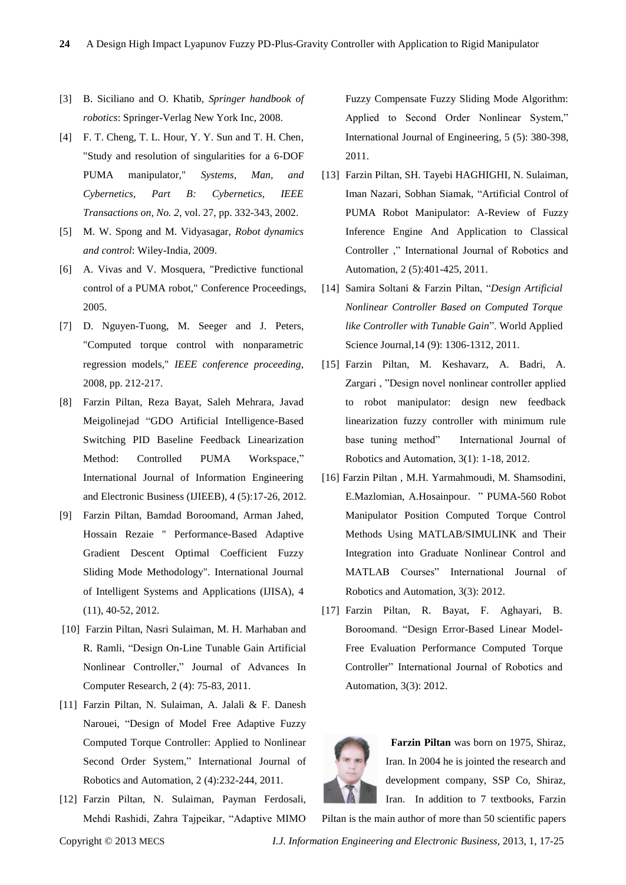- [3] B. Siciliano and O. Khatib, *Springer handbook of robotics*: Springer-Verlag New York Inc, 2008.
- [4] F. T. Cheng, T. L. Hour, Y. Y. Sun and T. H. Chen, "Study and resolution of singularities for a 6-DOF PUMA manipulator," *Systems, Man, and Cybernetics, Part B: Cybernetics, IEEE Transactions on, No. 2,* vol. 27, pp. 332-343, 2002.
- [5] M. W. Spong and M. Vidyasagar, *Robot dynamics and control*: Wiley-India, 2009.
- [6] A. Vivas and V. Mosquera, "Predictive functional control of a PUMA robot," Conference Proceedings, 2005.
- [7] D. Nguyen-Tuong, M. Seeger and J. Peters, "Computed torque control with nonparametric regression models," *IEEE conference proceeding,* 2008, pp. 212-217.
- [8] Farzin Piltan, Reza Bayat, Saleh Mehrara, Javad Meigolinejad "GDO Artificial Intelligence-Based Switching PID Baseline Feedback Linearization Method: Controlled PUMA Workspace," International Journal of Information Engineering and Electronic Business (IJIEEB), 4 (5):17-26, 2012.
- [9] Farzin Piltan, Bamdad Boroomand, Arman Jahed, Hossain Rezaie " Performance-Based Adaptive Gradient Descent Optimal Coefficient Fuzzy Sliding Mode Methodology". International Journal of Intelligent Systems and Applications (IJISA), 4 (11), 40-52, 2012.
- [10] Farzin Piltan, Nasri Sulaiman, M. H. Marhaban and R. Ramli, "Design On-Line Tunable Gain Artificial Nonlinear Controller," Journal of Advances In Computer Research, 2 (4): 75-83, 2011.
- [11] Farzin Piltan, N. Sulaiman, A. Jalali & F. Danesh Narouei, "Design of Model Free Adaptive Fuzzy Computed Torque Controller: Applied to Nonlinear Second Order System," International Journal of Robotics and Automation, 2 (4):232-244, 2011.
- [12] Farzin Piltan, N. Sulaiman, Payman Ferdosali, Mehdi Rashidi, Zahra Tajpeikar, "Adaptive MIMO

Fuzzy Compensate Fuzzy Sliding Mode Algorithm: Applied to Second Order Nonlinear System," International Journal of Engineering, 5 (5): 380-398, 2011.

- [13] Farzin Piltan, SH. Tayebi HAGHIGHI, N. Sulaiman, Iman Nazari, Sobhan Siamak, "Artificial Control of PUMA Robot Manipulator: A-Review of Fuzzy Inference Engine And Application to Classical Controller ," International Journal of Robotics and Automation, 2 (5):401-425, 2011.
- [14] Samira Soltani & Farzin Piltan, "*Design Artificial Nonlinear Controller Based on Computed Torque like Controller with Tunable Gain*". World Applied Science Journal,14 (9): 1306-1312, 2011.
- [15] Farzin Piltan, M. Keshavarz, A. Badri, A. Zargari , "Design novel nonlinear controller applied to robot manipulator: design new feedback linearization fuzzy controller with minimum rule base tuning method" International Journal of Robotics and Automation, 3(1): 1-18, 2012.
- [16] Farzin Piltan , M.H. Yarmahmoudi, M. Shamsodini, E.Mazlomian, A.Hosainpour. " PUMA-560 Robot Manipulator Position Computed Torque Control Methods Using MATLAB/SIMULINK and Their Integration into Graduate Nonlinear Control and MATLAB Courses" International Journal of Robotics and Automation, 3(3): 2012.
- [17] Farzin Piltan, R. Bayat, F. Aghayari, B. Boroomand. "Design Error-Based Linear Model-Free Evaluation Performance Computed Torque Controller" International Journal of Robotics and Automation, 3(3): 2012.



**Farzin Piltan** was born on 1975, Shiraz, Iran. In 2004 he is jointed the research and development company, SSP Co, Shiraz, Iran. In addition to 7 textbooks, Farzin

Piltan is the main author of more than 50 scientific papers

Copyright © 2013 MECS *I.J. Information Engineering and Electronic Business,* 2013, 1, 17-25